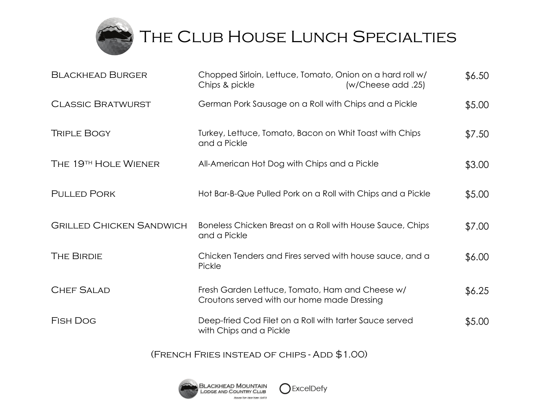

THE CLUB HOUSE LUNCH SPECIALTIES

| <b>BLACKHEAD BURGER</b>         | Chopped Sirloin, Lettuce, Tomato, Onion on a hard roll w/<br>Chips & pickle                    | (x/Cheese add .25) | \$6.50 |
|---------------------------------|------------------------------------------------------------------------------------------------|--------------------|--------|
| <b>CLASSIC BRATWURST</b>        | German Pork Sausage on a Roll with Chips and a Pickle                                          |                    | \$5.00 |
| <b>TRIPLE BOGY</b>              | Turkey, Lettuce, Tomato, Bacon on Whit Toast with Chips<br>and a Pickle                        |                    | \$7.50 |
| THE 19TH HOLE WIENER            | All-American Hot Dog with Chips and a Pickle                                                   |                    | \$3.00 |
| <b>PULLED PORK</b>              | Hot Bar-B-Que Pulled Pork on a Roll with Chips and a Pickle                                    |                    | \$5.00 |
| <b>GRILLED CHICKEN SANDWICH</b> | Boneless Chicken Breast on a Roll with House Sauce, Chips<br>and a Pickle                      |                    | \$7.00 |
| <b>THE BIRDIE</b>               | Chicken Tenders and Fires served with house sauce, and a<br>Pickle                             |                    | \$6.00 |
| <b>CHEF SALAD</b>               | Fresh Garden Lettuce, Tomato, Ham and Cheese w/<br>Croutons served with our home made Dressing |                    | \$6.25 |
| <b>FISH DOG</b>                 | Deep-fried Cod Filet on a Roll with tarter Sauce served<br>with Chips and a Pickle             |                    | \$5.00 |

(French Fries instead of chips - Add \$1.00)